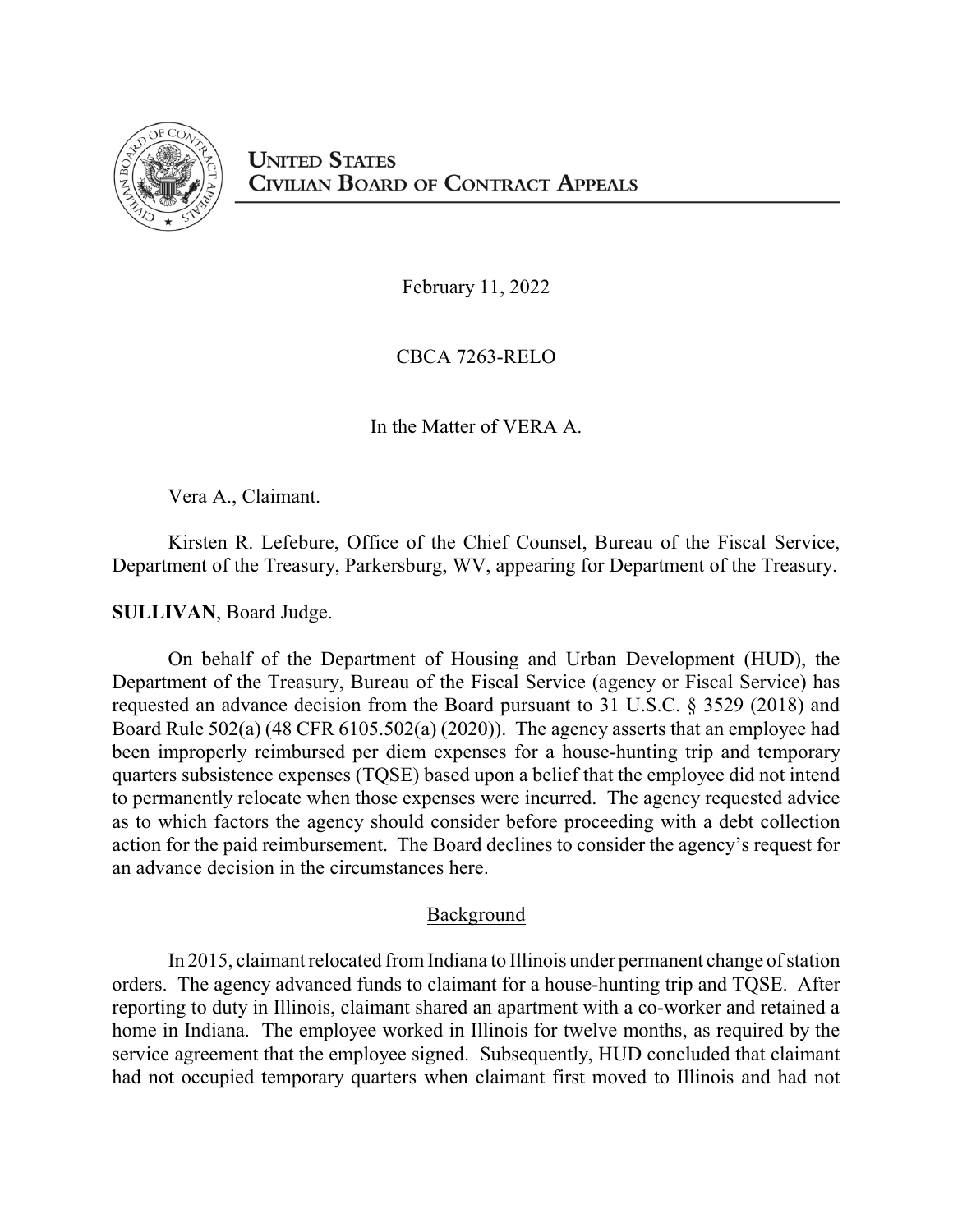

February 11, 2022

CBCA 7263-RELO

In the Matter of VERA A.

Vera A., Claimant.

Kirsten R. Lefebure, Office of the Chief Counsel, Bureau of the Fiscal Service, Department of the Treasury, Parkersburg, WV, appearing for Department of the Treasury.

**SULLIVAN**, Board Judge.

On behalf of the Department of Housing and Urban Development (HUD), the Department of the Treasury, Bureau of the Fiscal Service (agency or Fiscal Service) has requested an advance decision from the Board pursuant to 31 U.S.C. § 3529 (2018) and Board Rule 502(a) (48 CFR 6105.502(a) (2020)). The agency asserts that an employee had been improperly reimbursed per diem expenses for a house-hunting trip and temporary quarters subsistence expenses (TQSE) based upon a belief that the employee did not intend to permanently relocate when those expenses were incurred. The agency requested advice as to which factors the agency should consider before proceeding with a debt collection action for the paid reimbursement. The Board declines to consider the agency's request for an advance decision in the circumstances here.

## Background

In 2015, claimant relocated from Indiana to Illinois under permanent change of station orders. The agency advanced funds to claimant for a house-hunting trip and TQSE. After reporting to duty in Illinois, claimant shared an apartment with a co-worker and retained a home in Indiana. The employee worked in Illinois for twelve months, as required by the service agreement that the employee signed. Subsequently, HUD concluded that claimant had not occupied temporary quarters when claimant first moved to Illinois and had not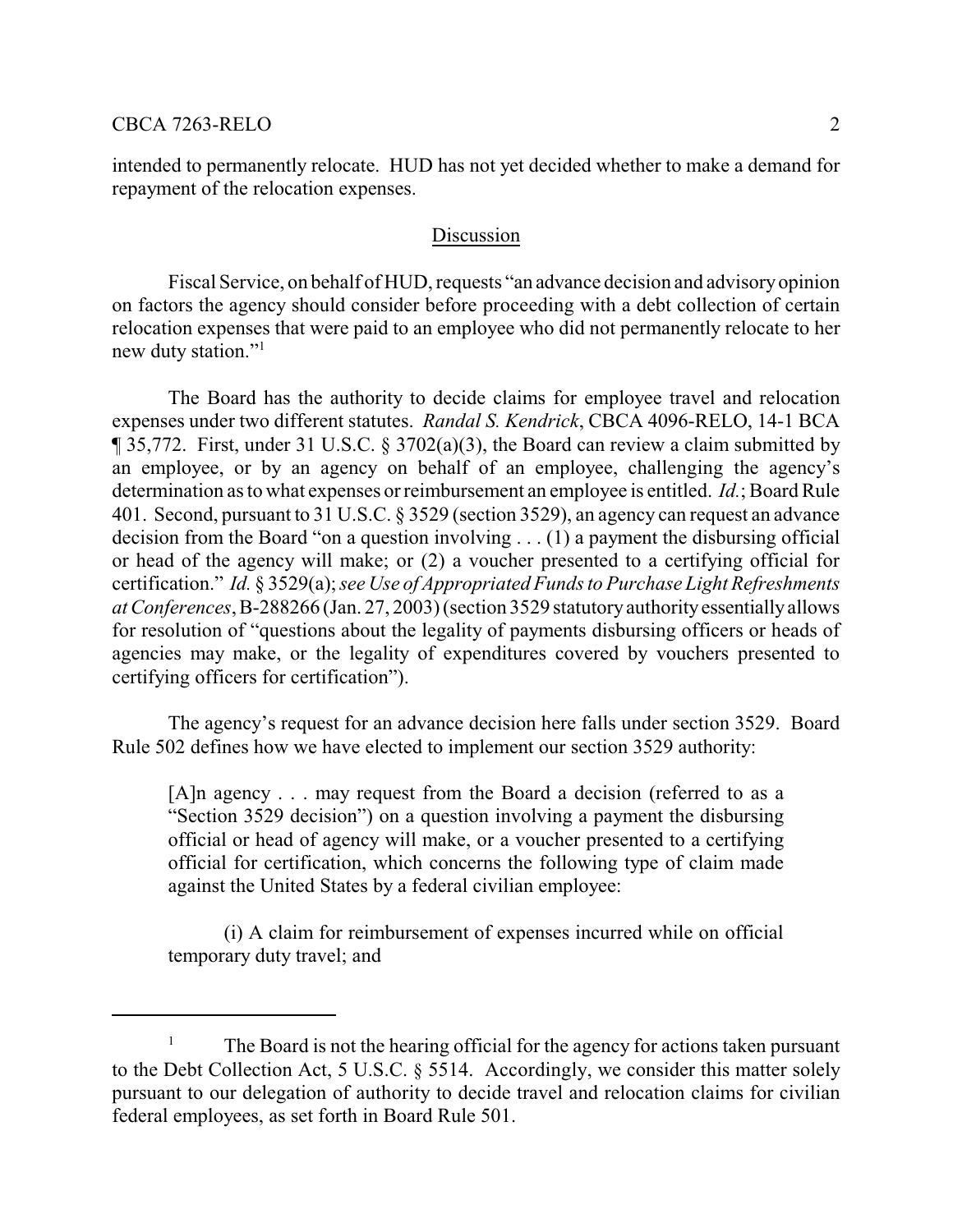#### CBCA 7263-RELO 2

intended to permanently relocate. HUD has not yet decided whether to make a demand for repayment of the relocation expenses.

#### Discussion

Fiscal Service, on behalf of HUD, requests "an advance decision and advisoryopinion on factors the agency should consider before proceeding with a debt collection of certain relocation expenses that were paid to an employee who did not permanently relocate to her new duty station."<sup>1</sup>

The Board has the authority to decide claims for employee travel and relocation expenses under two different statutes. *Randal S. Kendrick*, CBCA 4096-RELO, 14-1 BCA ¶ 35,772. First, under 31 U.S.C. § 3702(a)(3), the Board can review a claim submitted by an employee, or by an agency on behalf of an employee, challenging the agency's determination as to what expenses or reimbursement an employee is entitled. *Id.*; Board Rule 401. Second, pursuant to 31 U.S.C. § 3529 (section 3529), an agency can request an advance decision from the Board "on a question involving . . . (1) a payment the disbursing official or head of the agency will make; or (2) a voucher presented to a certifying official for certification." *Id.* § 3529(a); *see Use of Appropriated Funds to Purchase Light Refreshments at Conferences*,B-288266 (Jan. 27, 2003) (section 3529 statutoryauthorityessentiallyallows for resolution of "questions about the legality of payments disbursing officers or heads of agencies may make, or the legality of expenditures covered by vouchers presented to certifying officers for certification").

The agency's request for an advance decision here falls under section 3529. Board Rule 502 defines how we have elected to implement our section 3529 authority:

[A]n agency . . . may request from the Board a decision (referred to as a "Section 3529 decision") on a question involving a payment the disbursing official or head of agency will make, or a voucher presented to a certifying official for certification, which concerns the following type of claim made against the United States by a federal civilian employee:

(i) A claim for reimbursement of expenses incurred while on official temporary duty travel; and

<sup>&</sup>lt;sup>1</sup> The Board is not the hearing official for the agency for actions taken pursuant to the Debt Collection Act, 5 U.S.C. § 5514. Accordingly, we consider this matter solely pursuant to our delegation of authority to decide travel and relocation claims for civilian federal employees, as set forth in Board Rule 501.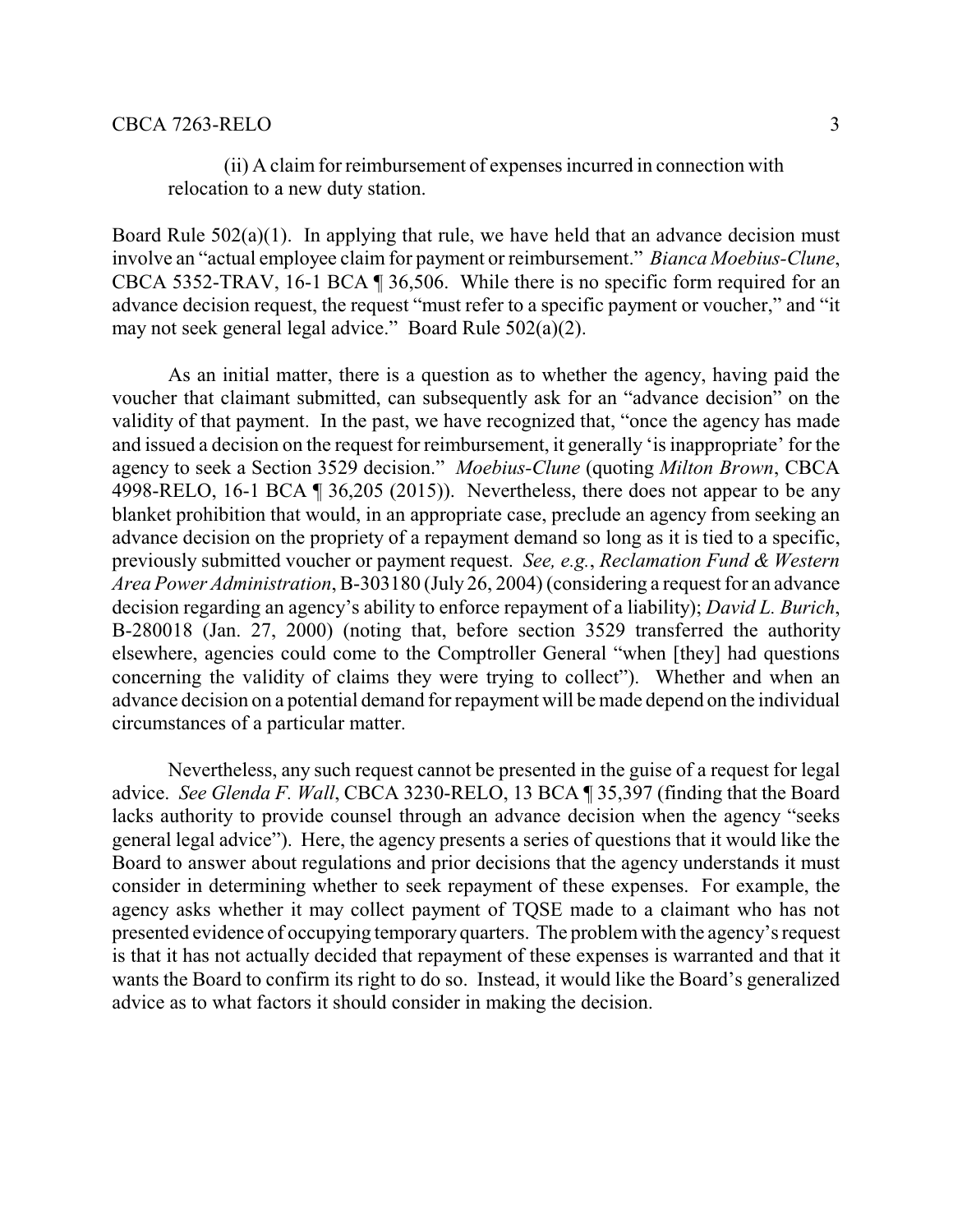### CBCA 7263-RELO 3

(ii) A claim for reimbursement of expenses incurred in connection with relocation to a new duty station.

Board Rule 502(a)(1). In applying that rule, we have held that an advance decision must involve an "actual employee claim for payment or reimbursement." *Bianca Moebius-Clune*, CBCA 5352-TRAV, 16-1 BCA ¶ 36,506. While there is no specific form required for an advance decision request, the request "must refer to a specific payment or voucher," and "it may not seek general legal advice." Board Rule 502(a)(2).

As an initial matter, there is a question as to whether the agency, having paid the voucher that claimant submitted, can subsequently ask for an "advance decision" on the validity of that payment. In the past, we have recognized that, "once the agency has made and issued a decision on the request for reimbursement, it generally 'is inappropriate' for the agency to seek a Section 3529 decision." *Moebius-Clune* (quoting *Milton Brown*, CBCA 4998-RELO, 16-1 BCA ¶ 36,205 (2015)). Nevertheless, there does not appear to be any blanket prohibition that would, in an appropriate case, preclude an agency from seeking an advance decision on the propriety of a repayment demand so long as it is tied to a specific, previously submitted voucher or payment request. *See, e.g.*, *Reclamation Fund & Western Area Power Administration*, B-303180 (July 26, 2004) (considering a request for an advance decision regarding an agency's ability to enforce repayment of a liability); *David L. Burich*, B-280018 (Jan. 27, 2000) (noting that, before section 3529 transferred the authority elsewhere, agencies could come to the Comptroller General "when [they] had questions concerning the validity of claims they were trying to collect"). Whether and when an advance decision on a potential demand for repayment will be made depend on the individual circumstances of a particular matter.

Nevertheless, any such request cannot be presented in the guise of a request for legal advice. *See Glenda F. Wall*, CBCA 3230-RELO, 13 BCA ¶ 35,397 (finding that the Board lacks authority to provide counsel through an advance decision when the agency "seeks general legal advice"). Here, the agency presents a series of questions that it would like the Board to answer about regulations and prior decisions that the agency understands it must consider in determining whether to seek repayment of these expenses. For example, the agency asks whether it may collect payment of TQSE made to a claimant who has not presented evidence of occupying temporary quarters. The problemwith the agency's request is that it has not actually decided that repayment of these expenses is warranted and that it wants the Board to confirm its right to do so. Instead, it would like the Board's generalized advice as to what factors it should consider in making the decision.